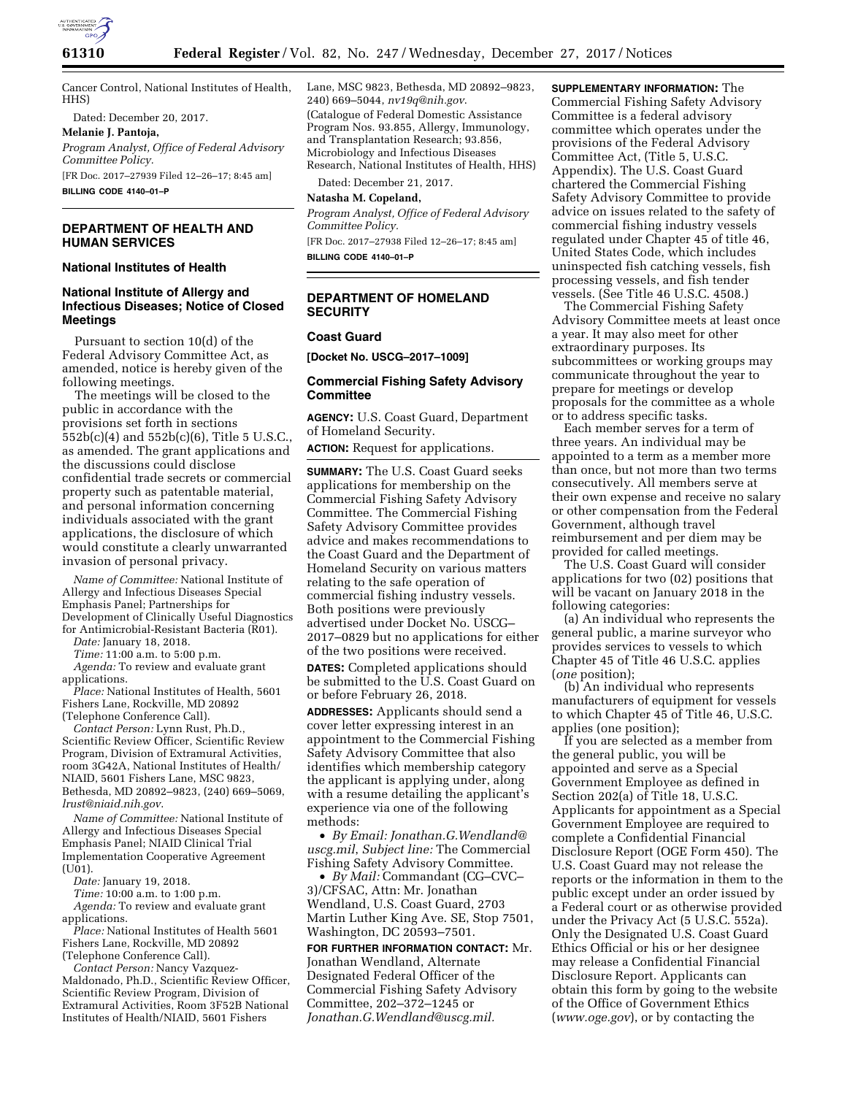

Cancer Control, National Institutes of Health, HHS)

Dated: December 20, 2017.

**Melanie J. Pantoja,** 

*Program Analyst, Office of Federal Advisory Committee Policy.* 

[FR Doc. 2017–27939 Filed 12–26–17; 8:45 am] **BILLING CODE 4140–01–P** 

## **DEPARTMENT OF HEALTH AND HUMAN SERVICES**

# **National Institutes of Health**

# **National Institute of Allergy and Infectious Diseases; Notice of Closed Meetings**

Pursuant to section 10(d) of the Federal Advisory Committee Act, as amended, notice is hereby given of the following meetings.

The meetings will be closed to the public in accordance with the provisions set forth in sections 552b(c)(4) and 552b(c)(6), Title 5 U.S.C., as amended. The grant applications and the discussions could disclose confidential trade secrets or commercial property such as patentable material, and personal information concerning individuals associated with the grant applications, the disclosure of which would constitute a clearly unwarranted invasion of personal privacy.

*Name of Committee:* National Institute of Allergy and Infectious Diseases Special Emphasis Panel; Partnerships for Development of Clinically Useful Diagnostics for Antimicrobial-Resistant Bacteria (R01).

*Date:* January 18, 2018.

*Time:* 11:00 a.m. to 5:00 p.m.

*Agenda:* To review and evaluate grant applications.

*Place:* National Institutes of Health, 5601 Fishers Lane, Rockville, MD 20892 (Telephone Conference Call).

*Contact Person:* Lynn Rust, Ph.D., Scientific Review Officer, Scientific Review Program, Division of Extramural Activities, room 3G42A, National Institutes of Health/ NIAID, 5601 Fishers Lane, MSC 9823, Bethesda, MD 20892–9823, (240) 669–5069, *[lrust@niaid.nih.gov](mailto:lrust@niaid.nih.gov)*.

*Name of Committee:* National Institute of Allergy and Infectious Diseases Special Emphasis Panel; NIAID Clinical Trial Implementation Cooperative Agreement  $(IJ01)$ .

*Date:* January 19, 2018.

*Time:* 10:00 a.m. to 1:00 p.m. *Agenda:* To review and evaluate grant applications.

*Place:* National Institutes of Health 5601 Fishers Lane, Rockville, MD 20892 (Telephone Conference Call).

*Contact Person:* Nancy Vazquez-Maldonado, Ph.D., Scientific Review Officer, Scientific Review Program, Division of Extramural Activities, Room 3F52B National Institutes of Health/NIAID, 5601 Fishers

Lane, MSC 9823, Bethesda, MD 20892–9823, 240) 669–5044, *[nv19q@nih.gov](mailto:nv19q@nih.gov)*. (Catalogue of Federal Domestic Assistance Program Nos. 93.855, Allergy, Immunology, and Transplantation Research; 93.856, Microbiology and Infectious Diseases Research, National Institutes of Health, HHS)

Dated: December 21, 2017.

#### **Natasha M. Copeland,**

*Program Analyst, Office of Federal Advisory Committee Policy.*  [FR Doc. 2017–27938 Filed 12–26–17; 8:45 am] **BILLING CODE 4140–01–P** 

# **DEPARTMENT OF HOMELAND SECURITY**

# **Coast Guard**

**[Docket No. USCG–2017–1009]** 

### **Commercial Fishing Safety Advisory Committee**

**AGENCY:** U.S. Coast Guard, Department of Homeland Security.

**ACTION:** Request for applications.

**SUMMARY:** The U.S. Coast Guard seeks applications for membership on the Commercial Fishing Safety Advisory Committee. The Commercial Fishing Safety Advisory Committee provides advice and makes recommendations to the Coast Guard and the Department of Homeland Security on various matters relating to the safe operation of commercial fishing industry vessels. Both positions were previously advertised under Docket No. USCG– 2017–0829 but no applications for either of the two positions were received. **DATES:** Completed applications should be submitted to the U.S. Coast Guard on or before February 26, 2018.

**ADDRESSES:** Applicants should send a cover letter expressing interest in an appointment to the Commercial Fishing Safety Advisory Committee that also identifies which membership category the applicant is applying under, along with a resume detailing the applicant's experience via one of the following methods:

• *By Email: [Jonathan.G.Wendland@](mailto:Jonathan.G.Wendland@) uscg.mil*, *Subject line:* The Commercial Fishing Safety Advisory Committee.

• *By Mail:* Commandant (CG–CVC– 3)/CFSAC, Attn: Mr. Jonathan Wendland, U.S. Coast Guard, 2703 Martin Luther King Ave. SE, Stop 7501, Washington, DC 20593–7501.

**FOR FURTHER INFORMATION CONTACT:** Mr. Jonathan Wendland, Alternate Designated Federal Officer of the Commercial Fishing Safety Advisory Committee, 202–372–1245 or *[Jonathan.G.Wendland@uscg.mil.](mailto:Jonathan.G.Wendland@uscg.mil)* 

**SUPPLEMENTARY INFORMATION:** The Commercial Fishing Safety Advisory Committee is a federal advisory committee which operates under the provisions of the Federal Advisory Committee Act, (Title 5, U.S.C. Appendix). The U.S. Coast Guard chartered the Commercial Fishing Safety Advisory Committee to provide advice on issues related to the safety of commercial fishing industry vessels regulated under Chapter 45 of title 46, United States Code, which includes uninspected fish catching vessels, fish processing vessels, and fish tender vessels. (See Title 46 U.S.C. 4508.)

The Commercial Fishing Safety Advisory Committee meets at least once a year. It may also meet for other extraordinary purposes. Its subcommittees or working groups may communicate throughout the year to prepare for meetings or develop proposals for the committee as a whole or to address specific tasks.

Each member serves for a term of three years. An individual may be appointed to a term as a member more than once, but not more than two terms consecutively. All members serve at their own expense and receive no salary or other compensation from the Federal Government, although travel reimbursement and per diem may be provided for called meetings.

The U.S. Coast Guard will consider applications for two (02) positions that will be vacant on January 2018 in the following categories:

(a) An individual who represents the general public, a marine surveyor who provides services to vessels to which Chapter 45 of Title 46 U.S.C. applies (*one* position);

(b) An individual who represents manufacturers of equipment for vessels to which Chapter 45 of Title 46, U.S.C. applies (one position);

If you are selected as a member from the general public, you will be appointed and serve as a Special Government Employee as defined in Section 202(a) of Title 18, U.S.C. Applicants for appointment as a Special Government Employee are required to complete a Confidential Financial Disclosure Report (OGE Form 450). The U.S. Coast Guard may not release the reports or the information in them to the public except under an order issued by a Federal court or as otherwise provided under the Privacy Act (5 U.S.C. 552a). Only the Designated U.S. Coast Guard Ethics Official or his or her designee may release a Confidential Financial Disclosure Report. Applicants can obtain this form by going to the website of the Office of Government Ethics (*[www.oge.gov](http://www.oge.gov)*), or by contacting the